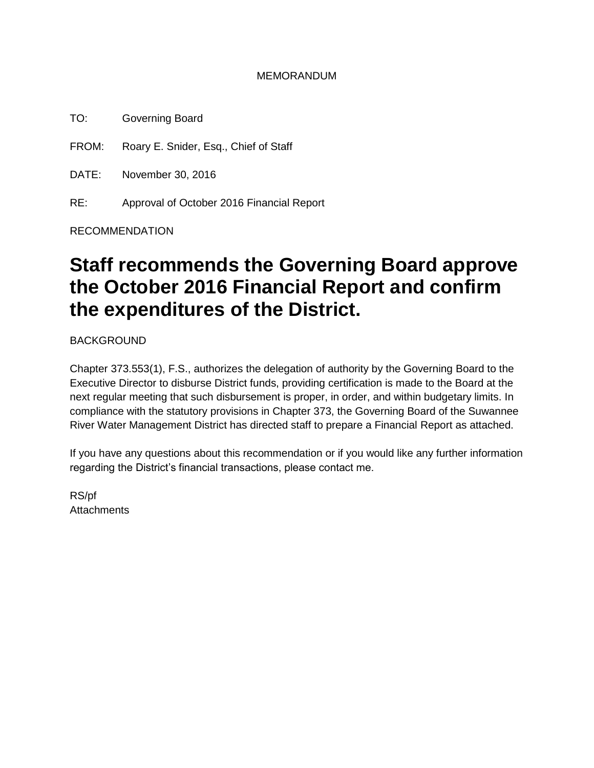#### MEMORANDUM

TO: Governing Board

FROM: Roary E. Snider, Esq., Chief of Staff

DATE: November 30, 2016

RE: Approval of October 2016 Financial Report

RECOMMENDATION

## **Staff recommends the Governing Board approve the October 2016 Financial Report and confirm the expenditures of the District.**

**BACKGROUND** 

Chapter 373.553(1), F.S., authorizes the delegation of authority by the Governing Board to the Executive Director to disburse District funds, providing certification is made to the Board at the next regular meeting that such disbursement is proper, in order, and within budgetary limits. In compliance with the statutory provisions in Chapter 373, the Governing Board of the Suwannee River Water Management District has directed staff to prepare a Financial Report as attached.

If you have any questions about this recommendation or if you would like any further information regarding the District's financial transactions, please contact me.

RS/pf **Attachments**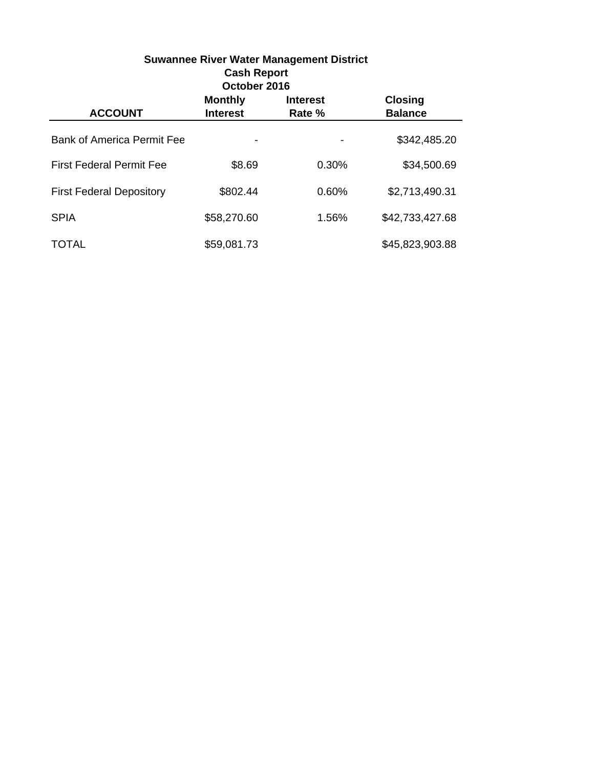| <b>Suwannee River Water Management District</b><br><b>Cash Report</b><br>October 2016 |                                   |                           |                                  |  |
|---------------------------------------------------------------------------------------|-----------------------------------|---------------------------|----------------------------------|--|
| <b>ACCOUNT</b>                                                                        | <b>Monthly</b><br><b>Interest</b> | <b>Interest</b><br>Rate % | <b>Closing</b><br><b>Balance</b> |  |
| <b>Bank of America Permit Fee</b>                                                     |                                   |                           | \$342,485.20                     |  |
| <b>First Federal Permit Fee</b>                                                       | \$8.69                            | 0.30%                     | \$34,500.69                      |  |
| <b>First Federal Depository</b>                                                       | \$802.44                          | 0.60%                     | \$2,713,490.31                   |  |
| <b>SPIA</b>                                                                           | \$58,270.60                       | 1.56%                     | \$42,733,427.68                  |  |
| TOTAL                                                                                 | \$59,081.73                       |                           | \$45,823,903.88                  |  |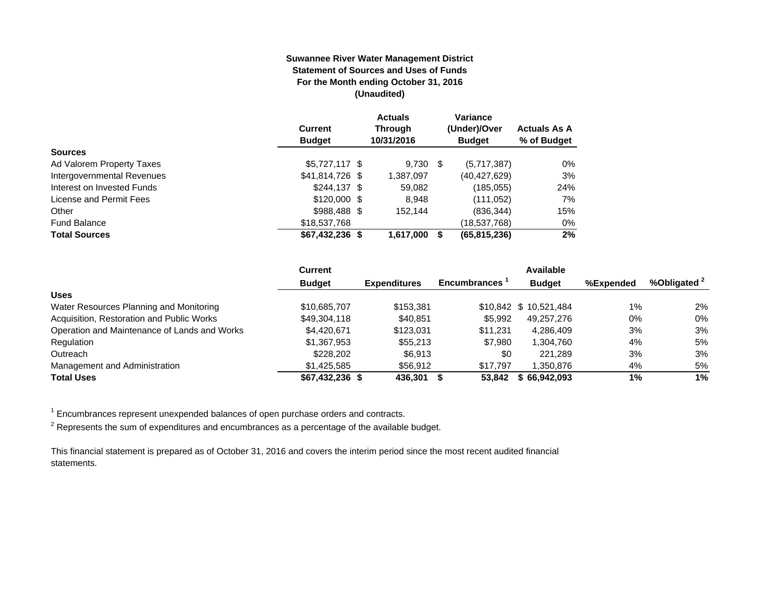#### **Suwannee River Water Management District Statement of Sources and Uses of Funds For the Month ending October 31, 2016 (Unaudited)**

|                            | <b>Current</b><br><b>Budget</b> | <b>Actuals</b><br><b>Through</b><br>10/31/2016 |      | Variance<br>(Under)/Over<br><b>Budget</b> | <b>Actuals As A</b><br>% of Budget |
|----------------------------|---------------------------------|------------------------------------------------|------|-------------------------------------------|------------------------------------|
| <b>Sources</b>             |                                 |                                                |      |                                           |                                    |
| Ad Valorem Property Taxes  | $$5,727,117$ \$                 | 9.730                                          | - \$ | (5,717,387)                               | $0\%$                              |
| Intergovernmental Revenues | \$41,814,726 \$                 | 1,387,097                                      |      | (40,427,629)                              | 3%                                 |
| Interest on Invested Funds | $$244.137$ \$                   | 59,082                                         |      | (185,055)                                 | 24%                                |
| License and Permit Fees    | $$120,000$ \$                   | 8.948                                          |      | (111,052)                                 | 7%                                 |
| Other                      | $$988,488$ \$                   | 152.144                                        |      | (836, 344)                                | 15%                                |
| <b>Fund Balance</b>        | \$18,537,768                    |                                                |      | (18,537,768)                              | $0\%$                              |
| <b>Total Sources</b>       | $$67,432,236$ \$                | 1,617,000                                      |      | (65, 815, 236)                            | 2%                                 |

|                                              | <b>Current</b>  |                     |                     |                       | Available |                         |  |
|----------------------------------------------|-----------------|---------------------|---------------------|-----------------------|-----------|-------------------------|--|
|                                              | <b>Budget</b>   | <b>Expenditures</b> | <b>Encumbrances</b> | <b>Budget</b>         | %Expended | %Obligated <sup>2</sup> |  |
| <b>Uses</b>                                  |                 |                     |                     |                       |           |                         |  |
| Water Resources Planning and Monitoring      | \$10,685,707    | \$153.381           |                     | \$10,842 \$10,521,484 | $1\%$     | 2%                      |  |
| Acquisition, Restoration and Public Works    | \$49,304,118    | \$40.851            | \$5.992             | 49.257.276            | $0\%$     | 0%                      |  |
| Operation and Maintenance of Lands and Works | \$4,420,671     | \$123,031           | \$11.231            | 4.286.409             | 3%        | 3%                      |  |
| Regulation                                   | \$1,367,953     | \$55,213            | \$7,980             | 1,304,760             | 4%        | 5%                      |  |
| Outreach                                     | \$228,202       | \$6.913             | \$0                 | 221.289               | 3%        | 3%                      |  |
| Management and Administration                | \$1.425.585     | \$56.912            | \$17.797            | 1.350.876             | 4%        | 5%                      |  |
| <b>Total Uses</b>                            | \$67.432.236 \$ | 436.301             | 53.842              | \$66.942.093          | 1%        | $1\%$                   |  |

1 Encumbrances represent unexpended balances of open purchase orders and contracts.

 $2$  Represents the sum of expenditures and encumbrances as a percentage of the available budget.

This financial statement is prepared as of October 31, 2016 and covers the interim period since the most recent audited financial statements.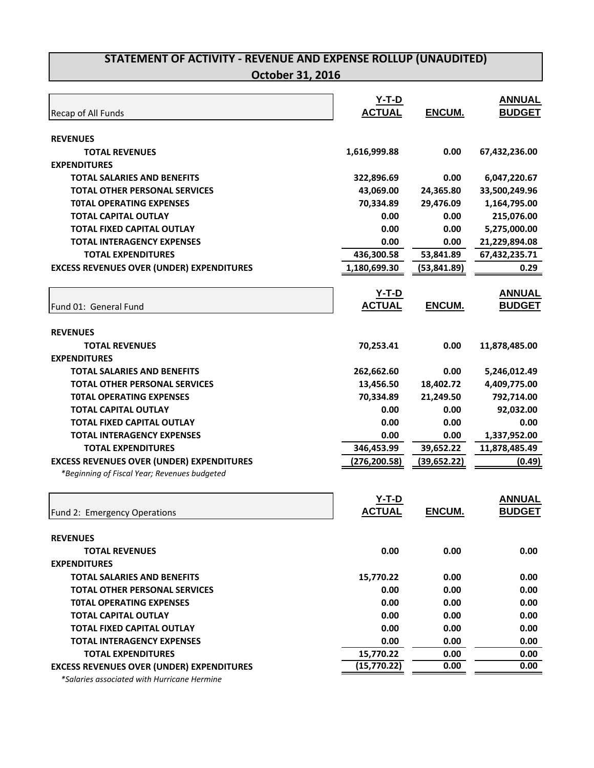|                                                  | $Y-T-D$                  |              | <b>ANNUAL</b> |
|--------------------------------------------------|--------------------------|--------------|---------------|
| Recap of All Funds                               | <b>ACTUAL</b>            | ENCUM.       | <b>BUDGET</b> |
| <b>REVENUES</b>                                  |                          |              |               |
| <b>TOTAL REVENUES</b>                            | 1,616,999.88             | 0.00         | 67,432,236.00 |
| <b>EXPENDITURES</b>                              |                          |              |               |
| <b>TOTAL SALARIES AND BENEFITS</b>               | 322,896.69               | 0.00         | 6,047,220.67  |
| <b>TOTAL OTHER PERSONAL SERVICES</b>             | 43,069.00                | 24,365.80    | 33,500,249.96 |
| <b>TOTAL OPERATING EXPENSES</b>                  | 70,334.89                | 29,476.09    | 1,164,795.00  |
| <b>TOTAL CAPITAL OUTLAY</b>                      | 0.00                     | 0.00         | 215,076.00    |
| <b>TOTAL FIXED CAPITAL OUTLAY</b>                | 0.00                     | 0.00         | 5,275,000.00  |
| <b>TOTAL INTERAGENCY EXPENSES</b>                | 0.00                     | 0.00         | 21,229,894.08 |
| <b>TOTAL EXPENDITURES</b>                        | 436,300.58               | 53,841.89    | 67,432,235.71 |
| <b>EXCESS REVENUES OVER (UNDER) EXPENDITURES</b> | 1,180,699.30             | (53,841.89)  | 0.29          |
|                                                  |                          |              |               |
|                                                  | <u>Y-T-D</u>             |              | <b>ANNUAL</b> |
| Fund 01: General Fund                            | <b>ACTUAL</b>            | ENCUM.       | <b>BUDGET</b> |
| <b>REVENUES</b>                                  |                          |              |               |
| <b>TOTAL REVENUES</b>                            | 70,253.41                | 0.00         | 11,878,485.00 |
| <b>EXPENDITURES</b>                              |                          |              |               |
| TOTAL SALARIES AND BENEFITS                      | 262,662.60               | 0.00         | 5,246,012.49  |
| <b>TOTAL OTHER PERSONAL SERVICES</b>             | 13,456.50                | 18,402.72    | 4,409,775.00  |
| <b>TOTAL OPERATING EXPENSES</b>                  | 70,334.89                | 21,249.50    | 792,714.00    |
| <b>TOTAL CAPITAL OUTLAY</b>                      | 0.00                     | 0.00         | 92,032.00     |
| <b>TOTAL FIXED CAPITAL OUTLAY</b>                | 0.00                     | 0.00         | 0.00          |
| <b>TOTAL INTERAGENCY EXPENSES</b>                | 0.00                     | 0.00         | 1,337,952.00  |
| <b>TOTAL EXPENDITURES</b>                        | 346,453.99               | 39,652.22    | 11,878,485.49 |
| <b>EXCESS REVENUES OVER (UNDER) EXPENDITURES</b> | (276, 200.58)            | (39, 652.22) | (0.49)        |
| *Beginning of Fiscal Year; Revenues budgeted     |                          |              |               |
|                                                  |                          |              |               |
|                                                  | $Y-T-D$<br><b>ACTUAL</b> |              | <b>ANNUAL</b> |
| Fund 2: Emergency Operations                     |                          | ENCUM.       | <b>BUDGET</b> |
| <b>REVENUES</b>                                  |                          |              |               |
| <b>TOTAL REVENUES</b>                            | 0.00                     | 0.00         | 0.00          |
| <b>EXPENDITURES</b>                              |                          |              |               |
| <b>TOTAL SALARIES AND BENEFITS</b>               | 15,770.22                | 0.00         | 0.00          |
| <b>TOTAL OTHER PERSONAL SERVICES</b>             | 0.00                     | 0.00         | 0.00          |
| <b>TOTAL OPERATING EXPENSES</b>                  | 0.00                     | 0.00         | 0.00          |
| <b>TOTAL CAPITAL OUTLAY</b>                      | 0.00                     | 0.00         | 0.00          |
| <b>TOTAL FIXED CAPITAL OUTLAY</b>                | 0.00                     | 0.00         | 0.00          |
| <b>TOTAL INTERAGENCY EXPENSES</b>                | 0.00                     | 0.00         | 0.00          |
| <b>TOTAL EXPENDITURES</b>                        | 15,770.22                | 0.00         | 0.00          |
| <b>EXCESS REVENUES OVER (UNDER) EXPENDITURES</b> | (15, 770.22)             | 0.00         | 0.00          |
| *Salaries associated with Hurricane Hermine      |                          |              |               |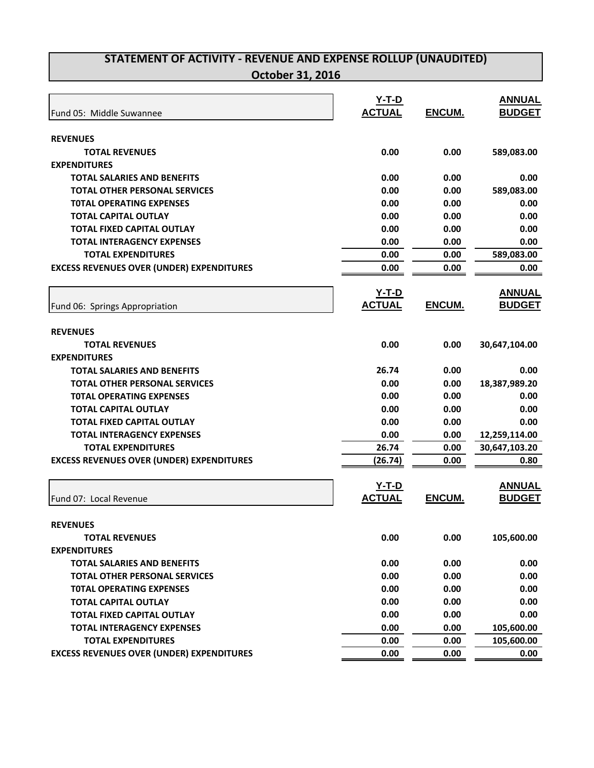|                                                  | $Y-T-D$       |               | <b>ANNUAL</b> |
|--------------------------------------------------|---------------|---------------|---------------|
| Fund 05: Middle Suwannee                         | <b>ACTUAL</b> | ENCUM.        | <b>BUDGET</b> |
|                                                  |               |               |               |
| <b>REVENUES</b>                                  |               |               |               |
| <b>TOTAL REVENUES</b>                            | 0.00          | 0.00          | 589,083.00    |
| <b>EXPENDITURES</b>                              |               |               |               |
| <b>TOTAL SALARIES AND BENEFITS</b>               | 0.00          | 0.00          | 0.00          |
| <b>TOTAL OTHER PERSONAL SERVICES</b>             | 0.00          | 0.00          | 589,083.00    |
| <b>TOTAL OPERATING EXPENSES</b>                  | 0.00          | 0.00          | 0.00          |
| <b>TOTAL CAPITAL OUTLAY</b>                      | 0.00          | 0.00          | 0.00          |
| <b>TOTAL FIXED CAPITAL OUTLAY</b>                | 0.00          | 0.00          | 0.00          |
| <b>TOTAL INTERAGENCY EXPENSES</b>                | 0.00          | 0.00          | 0.00          |
| <b>TOTAL EXPENDITURES</b>                        | 0.00          | 0.00          | 589,083.00    |
| <b>EXCESS REVENUES OVER (UNDER) EXPENDITURES</b> | 0.00          | 0.00          | 0.00          |
|                                                  |               |               |               |
|                                                  | <u>Y-T-D</u>  |               | <b>ANNUAL</b> |
| Fund 06: Springs Appropriation                   | <b>ACTUAL</b> | <b>ENCUM.</b> | <b>BUDGET</b> |
|                                                  |               |               |               |
| <b>REVENUES</b>                                  |               |               |               |
| <b>TOTAL REVENUES</b>                            | 0.00          | 0.00          | 30,647,104.00 |
| <b>EXPENDITURES</b>                              |               |               |               |
| <b>TOTAL SALARIES AND BENEFITS</b>               | 26.74         | 0.00          | 0.00          |
| <b>TOTAL OTHER PERSONAL SERVICES</b>             | 0.00          | 0.00          | 18,387,989.20 |
| <b>TOTAL OPERATING EXPENSES</b>                  | 0.00          | 0.00          | 0.00          |
| <b>TOTAL CAPITAL OUTLAY</b>                      | 0.00          | 0.00          | 0.00          |
| <b>TOTAL FIXED CAPITAL OUTLAY</b>                | 0.00          | 0.00          | 0.00          |
| <b>TOTAL INTERAGENCY EXPENSES</b>                | 0.00          | 0.00          | 12,259,114.00 |
| <b>TOTAL EXPENDITURES</b>                        | 26.74         | 0.00          | 30,647,103.20 |
| <b>EXCESS REVENUES OVER (UNDER) EXPENDITURES</b> | (26.74)       | 0.00          | 0.80          |
|                                                  |               |               |               |
|                                                  | $Y-T-D$       |               | <b>ANNUAL</b> |
| Fund 07: Local Revenue                           | <b>ACTUAL</b> | ENCUM.        | <b>BUDGET</b> |
|                                                  |               |               |               |
| <b>REVENUES</b>                                  |               |               |               |
| <b>TOTAL REVENUES</b>                            | 0.00          | 0.00          | 105,600.00    |
| <b>EXPENDITURES</b>                              |               |               |               |
| <b>TOTAL SALARIES AND BENEFITS</b>               | 0.00          | 0.00          | 0.00          |
| <b>TOTAL OTHER PERSONAL SERVICES</b>             | 0.00          | 0.00          | 0.00          |
| <b>TOTAL OPERATING EXPENSES</b>                  | 0.00          | 0.00          | 0.00          |
| <b>TOTAL CAPITAL OUTLAY</b>                      | 0.00          | 0.00          | 0.00          |
| <b>TOTAL FIXED CAPITAL OUTLAY</b>                | 0.00          | 0.00          | 0.00          |
| <b>TOTAL INTERAGENCY EXPENSES</b>                | 0.00          | 0.00          | 105,600.00    |
| <b>TOTAL EXPENDITURES</b>                        | 0.00          | 0.00          | 105,600.00    |
| <b>EXCESS REVENUES OVER (UNDER) EXPENDITURES</b> | 0.00          | 0.00          | 0.00          |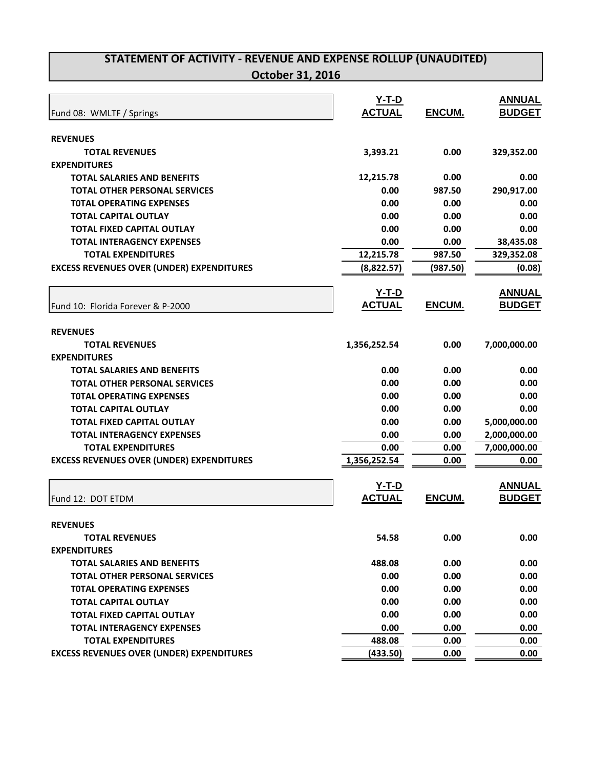|                                                  | <u>Y-T-D</u>  |          | <b>ANNUAL</b> |
|--------------------------------------------------|---------------|----------|---------------|
| Fund 08: WMLTF / Springs                         | <b>ACTUAL</b> | ENCUM.   | <b>BUDGET</b> |
|                                                  |               |          |               |
| <b>REVENUES</b>                                  |               |          |               |
| <b>TOTAL REVENUES</b>                            | 3,393.21      | 0.00     | 329,352.00    |
| <b>EXPENDITURES</b>                              |               |          |               |
| TOTAL SALARIES AND BENEFITS                      | 12,215.78     | 0.00     | 0.00          |
| <b>TOTAL OTHER PERSONAL SERVICES</b>             | 0.00          | 987.50   | 290,917.00    |
| <b>TOTAL OPERATING EXPENSES</b>                  | 0.00          | 0.00     | 0.00          |
| <b>TOTAL CAPITAL OUTLAY</b>                      | 0.00          | 0.00     | 0.00          |
| <b>TOTAL FIXED CAPITAL OUTLAY</b>                | 0.00          | 0.00     | 0.00          |
| <b>TOTAL INTERAGENCY EXPENSES</b>                | 0.00          | 0.00     | 38,435.08     |
| <b>TOTAL EXPENDITURES</b>                        | 12,215.78     | 987.50   | 329,352.08    |
| <b>EXCESS REVENUES OVER (UNDER) EXPENDITURES</b> | (8,822.57)    | (987.50) | (0.08)        |
|                                                  | <u>Y-T-D</u>  |          | <b>ANNUAL</b> |
| Fund 10: Florida Forever & P-2000                | <b>ACTUAL</b> | ENCUM.   | <b>BUDGET</b> |
|                                                  |               |          |               |
| <b>REVENUES</b>                                  |               |          |               |
| <b>TOTAL REVENUES</b>                            | 1,356,252.54  | 0.00     | 7,000,000.00  |
| <b>EXPENDITURES</b>                              |               |          |               |
| <b>TOTAL SALARIES AND BENEFITS</b>               | 0.00          | 0.00     | 0.00          |
| <b>TOTAL OTHER PERSONAL SERVICES</b>             | 0.00          | 0.00     | 0.00          |
| <b>TOTAL OPERATING EXPENSES</b>                  | 0.00          | 0.00     | 0.00          |
| <b>TOTAL CAPITAL OUTLAY</b>                      | 0.00          | 0.00     | 0.00          |
| <b>TOTAL FIXED CAPITAL OUTLAY</b>                | 0.00          | 0.00     | 5,000,000.00  |
| <b>TOTAL INTERAGENCY EXPENSES</b>                | 0.00          | 0.00     | 2,000,000.00  |
| <b>TOTAL EXPENDITURES</b>                        | 0.00          | 0.00     | 7,000,000.00  |
| <b>EXCESS REVENUES OVER (UNDER) EXPENDITURES</b> | 1,356,252.54  | 0.00     | 0.00          |
|                                                  |               |          |               |
|                                                  | $Y-T-D$       |          | <b>ANNUAL</b> |
| Fund 12: DOT ETDM                                | <b>ACTUAL</b> | ENCUM.   | <b>BUDGET</b> |
| <b>REVENUES</b>                                  |               |          |               |
| <b>TOTAL REVENUES</b>                            | 54.58         | 0.00     | 0.00          |
| <b>EXPENDITURES</b>                              |               |          |               |
| <b>TOTAL SALARIES AND BENEFITS</b>               | 488.08        | 0.00     | 0.00          |
| <b>TOTAL OTHER PERSONAL SERVICES</b>             | 0.00          | 0.00     | 0.00          |
| <b>TOTAL OPERATING EXPENSES</b>                  | 0.00          | 0.00     | 0.00          |
| <b>TOTAL CAPITAL OUTLAY</b>                      | 0.00          | 0.00     | 0.00          |
| <b>TOTAL FIXED CAPITAL OUTLAY</b>                | 0.00          | 0.00     | 0.00          |
| <b>TOTAL INTERAGENCY EXPENSES</b>                | 0.00          | 0.00     | 0.00          |
| <b>TOTAL EXPENDITURES</b>                        | 488.08        | 0.00     | 0.00          |
| <b>EXCESS REVENUES OVER (UNDER) EXPENDITURES</b> | (433.50)      | 0.00     | 0.00          |
|                                                  |               |          |               |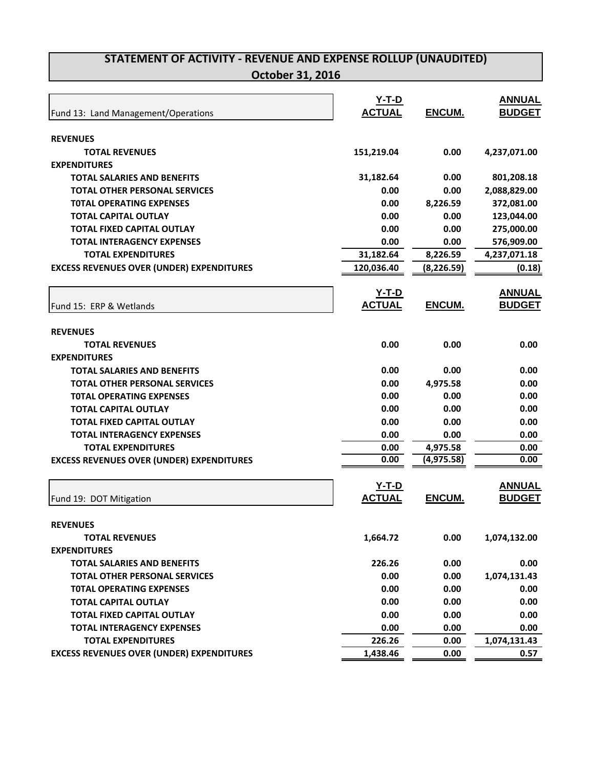|                                                  | <b>Y-T-D</b>  |               | <b>ANNUAL</b> |
|--------------------------------------------------|---------------|---------------|---------------|
| Fund 13: Land Management/Operations              | <b>ACTUAL</b> | ENCUM.        | <b>BUDGET</b> |
|                                                  |               |               |               |
| <b>REVENUES</b>                                  |               |               |               |
| <b>TOTAL REVENUES</b>                            | 151,219.04    | 0.00          | 4,237,071.00  |
| <b>EXPENDITURES</b>                              |               |               |               |
| <b>TOTAL SALARIES AND BENEFITS</b>               | 31,182.64     | 0.00          | 801,208.18    |
| <b>TOTAL OTHER PERSONAL SERVICES</b>             | 0.00          | 0.00          | 2,088,829.00  |
| <b>TOTAL OPERATING EXPENSES</b>                  | 0.00          | 8,226.59      | 372,081.00    |
| <b>TOTAL CAPITAL OUTLAY</b>                      | 0.00          | 0.00          | 123,044.00    |
| <b>TOTAL FIXED CAPITAL OUTLAY</b>                | 0.00          | 0.00          | 275,000.00    |
| <b>TOTAL INTERAGENCY EXPENSES</b>                | 0.00          | 0.00          | 576,909.00    |
| <b>TOTAL EXPENDITURES</b>                        | 31,182.64     | 8,226.59      | 4,237,071.18  |
| <b>EXCESS REVENUES OVER (UNDER) EXPENDITURES</b> | 120,036.40    | (8, 226.59)   | (0.18)        |
|                                                  |               |               |               |
|                                                  | <u>Y-T-D</u>  |               | <b>ANNUAL</b> |
| Fund 15: ERP & Wetlands                          | <b>ACTUAL</b> | ENCUM.        | <b>BUDGET</b> |
| <b>REVENUES</b>                                  |               |               |               |
| <b>TOTAL REVENUES</b>                            | 0.00          | 0.00          | 0.00          |
| <b>EXPENDITURES</b>                              |               |               |               |
| TOTAL SALARIES AND BENEFITS                      | 0.00          | 0.00          | 0.00          |
| <b>TOTAL OTHER PERSONAL SERVICES</b>             | 0.00          | 4,975.58      | 0.00          |
| <b>TOTAL OPERATING EXPENSES</b>                  | 0.00          | 0.00          | 0.00          |
| <b>TOTAL CAPITAL OUTLAY</b>                      | 0.00          | 0.00          | 0.00          |
| <b>TOTAL FIXED CAPITAL OUTLAY</b>                | 0.00          | 0.00          | 0.00          |
| <b>TOTAL INTERAGENCY EXPENSES</b>                | 0.00          | 0.00          | 0.00          |
| <b>TOTAL EXPENDITURES</b>                        | 0.00          | 4,975.58      | 0.00          |
| <b>EXCESS REVENUES OVER (UNDER) EXPENDITURES</b> | 0.00          | (4, 975.58)   | 0.00          |
|                                                  |               |               |               |
|                                                  | $Y-T-D$       |               | <b>ANNUAL</b> |
| Fund 19: DOT Mitigation                          | <b>ACTUAL</b> | <b>ENCUM.</b> | <b>BUDGET</b> |
|                                                  |               |               |               |
| <b>REVENUES</b>                                  |               |               |               |
| <b>TOTAL REVENUES</b>                            | 1,664.72      | 0.00          | 1,074,132.00  |
| <b>EXPENDITURES</b>                              |               |               |               |
| <b>TOTAL SALARIES AND BENEFITS</b>               | 226.26        | 0.00          | 0.00          |
| <b>TOTAL OTHER PERSONAL SERVICES</b>             | 0.00          | 0.00          | 1,074,131.43  |
| <b>TOTAL OPERATING EXPENSES</b>                  | 0.00          | 0.00          | 0.00          |
| <b>TOTAL CAPITAL OUTLAY</b>                      | 0.00          | 0.00          | 0.00          |
| <b>TOTAL FIXED CAPITAL OUTLAY</b>                | 0.00          | 0.00          | 0.00          |
| <b>TOTAL INTERAGENCY EXPENSES</b>                | 0.00          | 0.00          | 0.00          |
| <b>TOTAL EXPENDITURES</b>                        | 226.26        | 0.00          | 1,074,131.43  |
| <b>EXCESS REVENUES OVER (UNDER) EXPENDITURES</b> | 1,438.46      | 0.00          | 0.57          |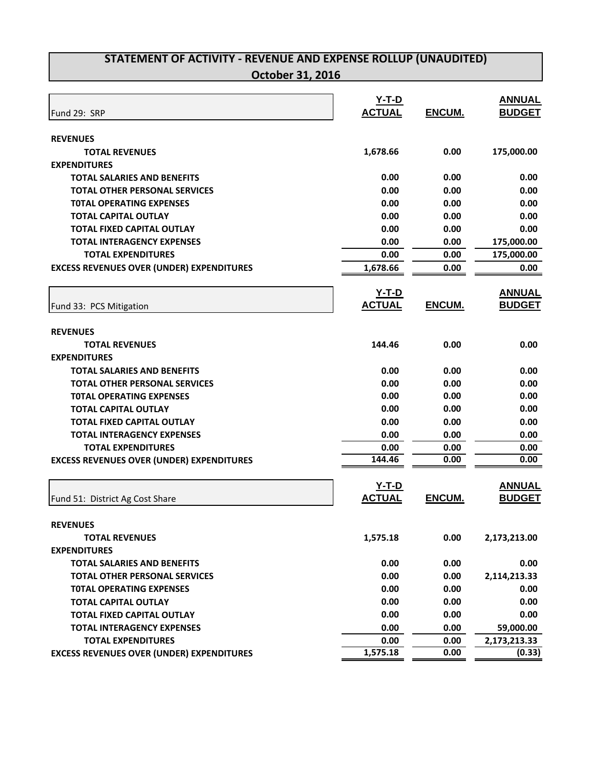|                                                  | <u>Y-T-D</u>  |               | <b>ANNUAL</b> |
|--------------------------------------------------|---------------|---------------|---------------|
| Fund 29: SRP                                     | <b>ACTUAL</b> | ENCUM.        | <b>BUDGET</b> |
|                                                  |               |               |               |
| <b>REVENUES</b>                                  |               |               |               |
| <b>TOTAL REVENUES</b>                            | 1,678.66      | 0.00          | 175,000.00    |
| <b>EXPENDITURES</b>                              |               |               |               |
| <b>TOTAL SALARIES AND BENEFITS</b>               | 0.00          | 0.00          | 0.00          |
| <b>TOTAL OTHER PERSONAL SERVICES</b>             | 0.00          | 0.00          | 0.00          |
| <b>TOTAL OPERATING EXPENSES</b>                  | 0.00          | 0.00          | 0.00          |
| <b>TOTAL CAPITAL OUTLAY</b>                      | 0.00          | 0.00          | 0.00          |
| <b>TOTAL FIXED CAPITAL OUTLAY</b>                | 0.00          | 0.00          | 0.00          |
| <b>TOTAL INTERAGENCY EXPENSES</b>                | 0.00          | 0.00          | 175,000.00    |
| <b>TOTAL EXPENDITURES</b>                        | 0.00          | 0.00          | 175,000.00    |
| <b>EXCESS REVENUES OVER (UNDER) EXPENDITURES</b> | 1,678.66      | 0.00          | 0.00          |
|                                                  | <u>Y-T-D</u>  |               | <b>ANNUAL</b> |
| Fund 33: PCS Mitigation                          | <b>ACTUAL</b> | ENCUM.        | <b>BUDGET</b> |
|                                                  |               |               |               |
| <b>REVENUES</b>                                  |               |               |               |
| <b>TOTAL REVENUES</b>                            | 144.46        | 0.00          | 0.00          |
| <b>EXPENDITURES</b>                              |               |               |               |
| <b>TOTAL SALARIES AND BENEFITS</b>               | 0.00          | 0.00          | 0.00          |
| <b>TOTAL OTHER PERSONAL SERVICES</b>             | 0.00          | 0.00          | 0.00          |
| <b>TOTAL OPERATING EXPENSES</b>                  | 0.00          | 0.00          | 0.00          |
| <b>TOTAL CAPITAL OUTLAY</b>                      | 0.00          | 0.00          | 0.00          |
| <b>TOTAL FIXED CAPITAL OUTLAY</b>                | 0.00          | 0.00          | 0.00          |
| <b>TOTAL INTERAGENCY EXPENSES</b>                | 0.00          | 0.00          | 0.00          |
| <b>TOTAL EXPENDITURES</b>                        | 0.00          | 0.00          | 0.00          |
| <b>EXCESS REVENUES OVER (UNDER) EXPENDITURES</b> | 144.46        | 0.00          | 0.00          |
|                                                  |               |               |               |
|                                                  | $Y-T-D$       |               | <b>ANNUAL</b> |
| Fund 51: District Ag Cost Share                  | <b>ACTUAL</b> | <b>ENCUM.</b> | <b>BUDGET</b> |
| <b>REVENUES</b>                                  |               |               |               |
|                                                  |               |               |               |
| <b>TOTAL REVENUES</b>                            | 1,575.18      | 0.00          | 2,173,213.00  |
| <b>EXPENDITURES</b>                              |               |               |               |
| <b>TOTAL SALARIES AND BENEFITS</b>               | 0.00          | 0.00          | 0.00          |
| <b>TOTAL OTHER PERSONAL SERVICES</b>             | 0.00          | 0.00          | 2,114,213.33  |
| <b>TOTAL OPERATING EXPENSES</b>                  | 0.00          | 0.00          | 0.00          |
| <b>TOTAL CAPITAL OUTLAY</b>                      | 0.00          | 0.00          | 0.00          |
| <b>TOTAL FIXED CAPITAL OUTLAY</b>                | 0.00          | 0.00          | 0.00          |
| <b>TOTAL INTERAGENCY EXPENSES</b>                | 0.00          | 0.00          | 59,000.00     |
| <b>TOTAL EXPENDITURES</b>                        | 0.00          | 0.00          | 2,173,213.33  |
| <b>EXCESS REVENUES OVER (UNDER) EXPENDITURES</b> | 1,575.18      | 0.00          | (0.33)        |